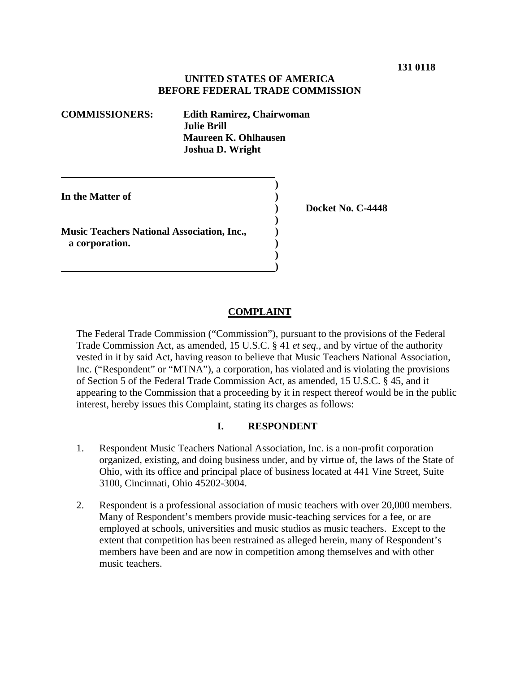### **UNITED STATES OF AMERICA BEFORE FEDERAL TRADE COMMISSION**

**COMMISSIONERS: Edith Ramirez, Chairwoman Julie Brill Maureen K. Ohlhausen Joshua D. Wright** 

**In the Matter of**  )

**Music Teachers National Association, Inc., ) a corporation.** )

 **)** 

 **)** 

 **) )** 

 **) Docket No. C-4448** 

### **COMPLAINT**

The Federal Trade Commission ("Commission"), pursuant to the provisions of the Federal Trade Commission Act, as amended, 15 U.S.C. § 41 *et seq.*, and by virtue of the authority vested in it by said Act, having reason to believe that Music Teachers National Association, Inc. ("Respondent" or "MTNA"), a corporation, has violated and is violating the provisions of Section 5 of the Federal Trade Commission Act, as amended, 15 U.S.C. § 45, and it appearing to the Commission that a proceeding by it in respect thereof would be in the public interest, hereby issues this Complaint, stating its charges as follows:

### **I. RESPONDENT**

- 1. Respondent Music Teachers National Association, Inc. is a non-profit corporation organized, existing, and doing business under, and by virtue of, the laws of the State of Ohio, with its office and principal place of business located at 441 Vine Street, Suite 3100, Cincinnati, Ohio 45202-3004.
- 2. Respondent is a professional association of music teachers with over 20,000 members. Many of Respondent's members provide music-teaching services for a fee, or are employed at schools, universities and music studios as music teachers. Except to the extent that competition has been restrained as alleged herein, many of Respondent's members have been and are now in competition among themselves and with other music teachers.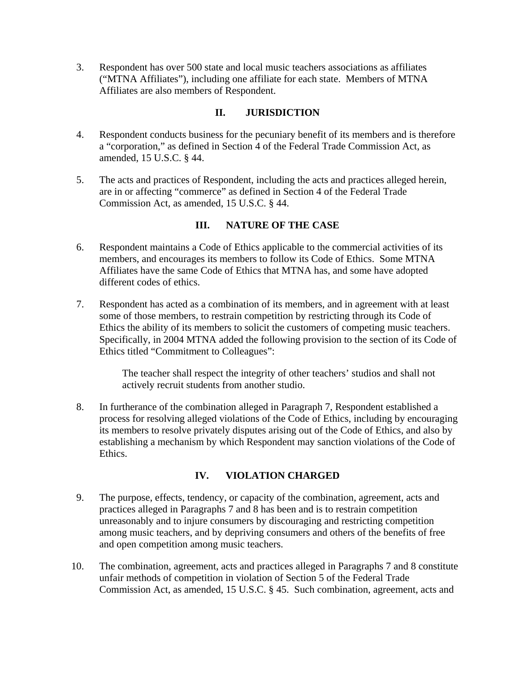3. Respondent has over 500 state and local music teachers associations as affiliates ("MTNA Affiliates"), including one affiliate for each state. Members of MTNA Affiliates are also members of Respondent.

# **II. JURISDICTION**

- 4. Respondent conducts business for the pecuniary benefit of its members and is therefore a "corporation," as defined in Section 4 of the Federal Trade Commission Act, as amended, 15 U.S.C. § 44.
- 5. The acts and practices of Respondent, including the acts and practices alleged herein, are in or affecting "commerce" as defined in Section 4 of the Federal Trade Commission Act, as amended, 15 U.S.C. § 44.

## **III. NATURE OF THE CASE**

- 6. Respondent maintains a Code of Ethics applicable to the commercial activities of its members, and encourages its members to follow its Code of Ethics. Some MTNA Affiliates have the same Code of Ethics that MTNA has, and some have adopted different codes of ethics.
- 7. Respondent has acted as a combination of its members, and in agreement with at least some of those members, to restrain competition by restricting through its Code of Ethics the ability of its members to solicit the customers of competing music teachers. Specifically, in 2004 MTNA added the following provision to the section of its Code of Ethics titled "Commitment to Colleagues":

The teacher shall respect the integrity of other teachers' studios and shall not actively recruit students from another studio.

8. In furtherance of the combination alleged in Paragraph 7, Respondent established a process for resolving alleged violations of the Code of Ethics, including by encouraging its members to resolve privately disputes arising out of the Code of Ethics, and also by establishing a mechanism by which Respondent may sanction violations of the Code of Ethics.

## **IV. VIOLATION CHARGED**

- 9. The purpose, effects, tendency, or capacity of the combination, agreement, acts and practices alleged in Paragraphs 7 and 8 has been and is to restrain competition unreasonably and to injure consumers by discouraging and restricting competition among music teachers, and by depriving consumers and others of the benefits of free and open competition among music teachers.
- 10. The combination, agreement, acts and practices alleged in Paragraphs 7 and 8 constitute unfair methods of competition in violation of Section 5 of the Federal Trade Commission Act, as amended, 15 U.S.C. § 45. Such combination, agreement, acts and